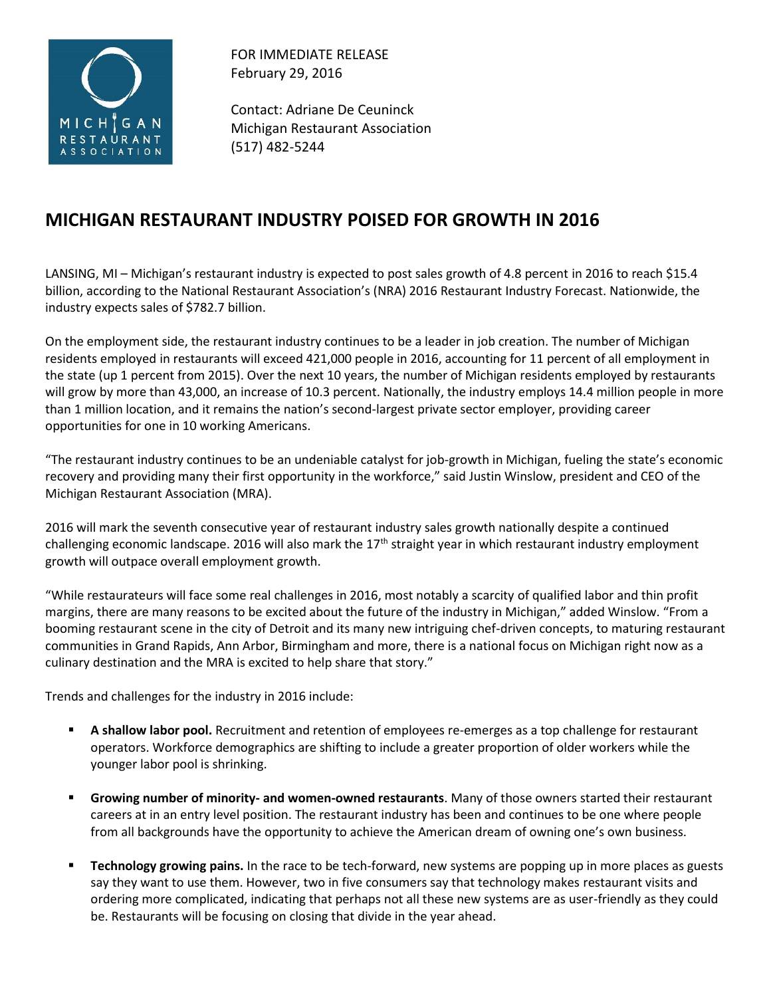

FOR IMMEDIATE RELEASE February 29, 2016

Contact: Adriane De Ceuninck Michigan Restaurant Association (517) 482-5244

## **MICHIGAN RESTAURANT INDUSTRY POISED FOR GROWTH IN 2016**

LANSING, MI – Michigan's restaurant industry is expected to post sales growth of 4.8 percent in 2016 to reach \$15.4 billion, according to the National Restaurant Association's (NRA) 2016 Restaurant Industry Forecast. Nationwide, the industry expects sales of \$782.7 billion.

On the employment side, the restaurant industry continues to be a leader in job creation. The number of Michigan residents employed in restaurants will exceed 421,000 people in 2016, accounting for 11 percent of all employment in the state (up 1 percent from 2015). Over the next 10 years, the number of Michigan residents employed by restaurants will grow by more than 43,000, an increase of 10.3 percent. Nationally, the industry employs 14.4 million people in more than 1 million location, and it remains the nation's second-largest private sector employer, providing career opportunities for one in 10 working Americans.

"The restaurant industry continues to be an undeniable catalyst for job-growth in Michigan, fueling the state's economic recovery and providing many their first opportunity in the workforce," said Justin Winslow, president and CEO of the Michigan Restaurant Association (MRA).

2016 will mark the seventh consecutive year of restaurant industry sales growth nationally despite a continued challenging economic landscape. 2016 will also mark the  $17<sup>th</sup>$  straight year in which restaurant industry employment growth will outpace overall employment growth.

"While restaurateurs will face some real challenges in 2016, most notably a scarcity of qualified labor and thin profit margins, there are many reasons to be excited about the future of the industry in Michigan," added Winslow. "From a booming restaurant scene in the city of Detroit and its many new intriguing chef-driven concepts, to maturing restaurant communities in Grand Rapids, Ann Arbor, Birmingham and more, there is a national focus on Michigan right now as a culinary destination and the MRA is excited to help share that story."

Trends and challenges for the industry in 2016 include:

- **A shallow labor pool.** Recruitment and retention of employees re-emerges as a top challenge for restaurant operators. Workforce demographics are shifting to include a greater proportion of older workers while the younger labor pool is shrinking.
- **Growing number of minority- and women-owned restaurants**. Many of those owners started their restaurant careers at in an entry level position. The restaurant industry has been and continues to be one where people from all backgrounds have the opportunity to achieve the American dream of owning one's own business.
- **Technology growing pains.** In the race to be tech-forward, new systems are popping up in more places as guests say they want to use them. However, two in five consumers say that technology makes restaurant visits and ordering more complicated, indicating that perhaps not all these new systems are as user-friendly as they could be. Restaurants will be focusing on closing that divide in the year ahead.